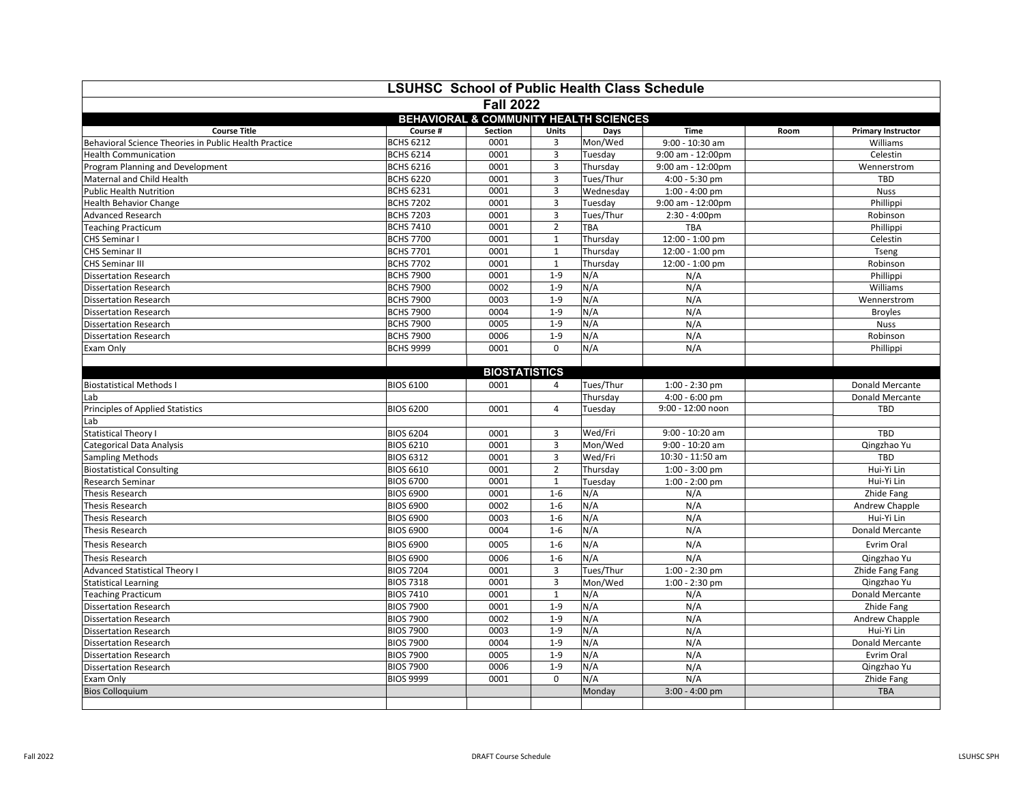| <b>LSUHSC School of Public Health Class Schedule</b>  |                  |                                            |                |            |                         |             |                           |  |  |  |  |  |
|-------------------------------------------------------|------------------|--------------------------------------------|----------------|------------|-------------------------|-------------|---------------------------|--|--|--|--|--|
| <b>Fall 2022</b>                                      |                  |                                            |                |            |                         |             |                           |  |  |  |  |  |
| BEHAVIORAL & COMMUNITY HEALTH SCIENCES                |                  |                                            |                |            |                         |             |                           |  |  |  |  |  |
| <b>Course Title</b>                                   | Course #         | <b>Section</b>                             | Units          | Days       | <b>Time</b>             | Room        | <b>Primary Instructor</b> |  |  |  |  |  |
| Behavioral Science Theories in Public Health Practice | <b>BCHS 6212</b> | 0001                                       | 3              | Mon/Wed    | 9:00 - 10:30 am         |             | Williams                  |  |  |  |  |  |
| <b>Health Communication</b>                           | <b>BCHS 6214</b> | 0001                                       | 3              | Tuesday    | 9:00 am - 12:00pm       |             | Celestin                  |  |  |  |  |  |
| Program Planning and Development                      | <b>BCHS 6216</b> | 0001<br>3<br>Thursday<br>9:00 am - 12:00pm |                |            |                         | Wennerstrom |                           |  |  |  |  |  |
| Maternal and Child Health                             | <b>BCHS 6220</b> | 0001<br>3<br>Tues/Thur<br>4:00 - 5:30 pm   |                |            |                         | TBD         |                           |  |  |  |  |  |
| <b>Public Health Nutrition</b>                        | <b>BCHS 6231</b> | 0001<br>3                                  |                |            | $1:00 - 4:00$ pm        | <b>Nuss</b> |                           |  |  |  |  |  |
| <b>Health Behavior Change</b>                         | <b>BCHS 7202</b> | 0001                                       | 3              | Tuesday    | 9:00 am - 12:00pm       |             | Phillippi                 |  |  |  |  |  |
| <b>Advanced Research</b>                              | <b>BCHS 7203</b> | 0001                                       | 3              | Tues/Thur  | $2:30 - 4:00 \text{pm}$ |             | Robinson                  |  |  |  |  |  |
| <b>Teaching Practicum</b>                             | <b>BCHS 7410</b> | 0001                                       | $\overline{2}$ |            | <b>TBA</b>              |             | Phillippi                 |  |  |  |  |  |
| CHS Seminar I                                         | <b>BCHS 7700</b> | 0001                                       | $\mathbf{1}$   | Thursday   | 12:00 - 1:00 pm         |             | Celestin                  |  |  |  |  |  |
| <b>CHS Seminar II</b>                                 | <b>BCHS 7701</b> | 0001                                       | $\mathbf{1}$   |            | 12:00 - 1:00 pm         |             | Tseng                     |  |  |  |  |  |
| <b>CHS Seminar III</b>                                | <b>BCHS 7702</b> | 0001                                       | $\mathbf{1}$   | Thursday   | 12:00 - 1:00 pm         |             | Robinson                  |  |  |  |  |  |
| <b>Dissertation Research</b>                          | <b>BCHS 7900</b> | 0001                                       | $1 - 9$        | N/A        | N/A                     |             | Phillippi                 |  |  |  |  |  |
| <b>Dissertation Research</b>                          | <b>BCHS 7900</b> | 0002                                       | $1 - 9$        | N/A        | N/A                     |             | Williams                  |  |  |  |  |  |
| <b>Dissertation Research</b>                          | <b>BCHS 7900</b> | 0003<br>$1 - 9$<br>N/A                     |                |            |                         | N/A         |                           |  |  |  |  |  |
| <b>Dissertation Research</b>                          | <b>BCHS 7900</b> | N/A<br>N/A<br>0004<br>$1 - 9$              |                |            |                         |             | <b>Broyles</b>            |  |  |  |  |  |
| <b>Dissertation Research</b>                          | <b>BCHS 7900</b> | 0005<br>N/A<br>$1 - 9$<br>N/A              |                |            |                         |             | <b>Nuss</b>               |  |  |  |  |  |
| <b>Dissertation Research</b>                          | <b>BCHS 7900</b> | 0006<br>$1 - 9$<br>N/A<br>N/A              |                |            |                         |             | Robinson                  |  |  |  |  |  |
| Exam Only                                             | <b>BCHS 9999</b> | 0001                                       | $\mathbf{0}$   | N/A        | N/A                     |             | Phillippi                 |  |  |  |  |  |
|                                                       |                  |                                            |                |            |                         |             |                           |  |  |  |  |  |
|                                                       |                  | <b>BIOSTATISTICS</b>                       |                |            |                         |             |                           |  |  |  |  |  |
| <b>Biostatistical Methods I</b>                       | <b>BIOS 6100</b> | 0001                                       | 4              | Tues/Thur  | $1:00 - 2:30$ pm        |             | Donald Mercante           |  |  |  |  |  |
| Lab                                                   |                  |                                            |                | Thursday   | $4:00 - 6:00$ pm        |             | Donald Mercante           |  |  |  |  |  |
| Principles of Applied Statistics                      | <b>BIOS 6200</b> | 0001                                       | $\overline{4}$ | Tuesday    | $9:00 - 12:00$ noon     |             | <b>TBD</b>                |  |  |  |  |  |
| Lab                                                   |                  |                                            |                |            |                         |             |                           |  |  |  |  |  |
| <b>Statistical Theory I</b>                           | <b>BIOS 6204</b> | 0001                                       | 3              | Wed/Fri    | 9:00 - 10:20 am         |             | <b>TBD</b>                |  |  |  |  |  |
| <b>Categorical Data Analysis</b>                      | <b>BIOS 6210</b> | 0001                                       | 3              | Mon/Wed    | 9:00 - 10:20 am         |             | Qingzhao Yu               |  |  |  |  |  |
| <b>Sampling Methods</b>                               | <b>BIOS 6312</b> | 0001                                       | 3              | Wed/Fri    | 10:30 - 11:50 am        |             | <b>TBD</b>                |  |  |  |  |  |
| <b>Biostatistical Consulting</b>                      | <b>BIOS 6610</b> | 0001                                       | $\overline{2}$ | Thursday   | $1:00 - 3:00$ pm        |             | Hui-Yi Lin                |  |  |  |  |  |
| <b>Research Seminar</b>                               | <b>BIOS 6700</b> | 0001                                       | $\mathbf{1}$   | Tuesday    | $1:00 - 2:00$ pm        |             | Hui-Yi Lin                |  |  |  |  |  |
| <b>Thesis Research</b>                                | <b>BIOS 6900</b> | 0001                                       | $1 - 6$        | N/A        | N/A                     |             | Zhide Fang                |  |  |  |  |  |
| <b>Thesis Research</b>                                | <b>BIOS 6900</b> | 0002                                       | $1 - 6$        | N/A        | N/A                     |             | Andrew Chapple            |  |  |  |  |  |
| <b>Thesis Research</b>                                | <b>BIOS 6900</b> | 0003                                       | $1 - 6$        | N/A        | N/A                     |             | Hui-Yi Lin                |  |  |  |  |  |
| <b>Thesis Research</b>                                | <b>BIOS 6900</b> | 0004                                       | $1 - 6$        | N/A        | N/A                     |             | Donald Mercante           |  |  |  |  |  |
| <b>Thesis Research</b>                                | <b>BIOS 6900</b> | 0005                                       | $1 - 6$        | N/A        | N/A                     |             | Evrim Oral                |  |  |  |  |  |
| <b>Thesis Research</b>                                | <b>BIOS 6900</b> | 0006                                       | $1 - 6$        | N/A<br>N/A |                         |             | Qingzhao Yu               |  |  |  |  |  |
| <b>Advanced Statistical Theory I</b>                  | <b>BIOS 7204</b> | 0001<br>3<br>Tues/Thur<br>$1:00 - 2:30$ pm |                |            | Zhide Fang Fang         |             |                           |  |  |  |  |  |
| <b>Statistical Learning</b>                           | <b>BIOS 7318</b> | 0001<br>3                                  |                | Mon/Wed    | $1:00 - 2:30$ pm        | Qingzhao Yu |                           |  |  |  |  |  |
| <b>Teaching Practicum</b>                             | <b>BIOS 7410</b> | 0001                                       |                | N/A        | N/A                     |             | Donald Mercante           |  |  |  |  |  |
| <b>Dissertation Research</b>                          | <b>BIOS 7900</b> | 0001                                       | $1 - 9$        | N/A        | N/A                     |             | Zhide Fang                |  |  |  |  |  |
| <b>Dissertation Research</b>                          | <b>BIOS 7900</b> | 0002                                       | $1 - 9$        | N/A        | N/A                     |             | Andrew Chapple            |  |  |  |  |  |
| <b>Dissertation Research</b>                          | <b>BIOS 7900</b> | 0003                                       | $1 - 9$        | N/A        | N/A                     |             | Hui-Yi Lin                |  |  |  |  |  |
| <b>Dissertation Research</b>                          | <b>BIOS 7900</b> | 0004                                       | $1 - 9$        | N/A        | N/A                     |             | Donald Mercante           |  |  |  |  |  |
| <b>Dissertation Research</b>                          | <b>BIOS 7900</b> | 0005                                       | $1 - 9$        | N/A        | N/A                     |             | Evrim Oral                |  |  |  |  |  |
| <b>Dissertation Research</b>                          | <b>BIOS 7900</b> | 0006                                       | $1 - 9$        | N/A        | N/A                     |             | Qingzhao Yu               |  |  |  |  |  |
| Exam Only                                             | <b>BIOS 9999</b> | 0001                                       | $\mathbf 0$    | N/A        | N/A                     |             | Zhide Fang                |  |  |  |  |  |
| <b>Bios Colloquium</b>                                |                  |                                            |                | Monday     | $3:00 - 4:00$ pm        |             | <b>TBA</b>                |  |  |  |  |  |
|                                                       |                  |                                            |                |            |                         |             |                           |  |  |  |  |  |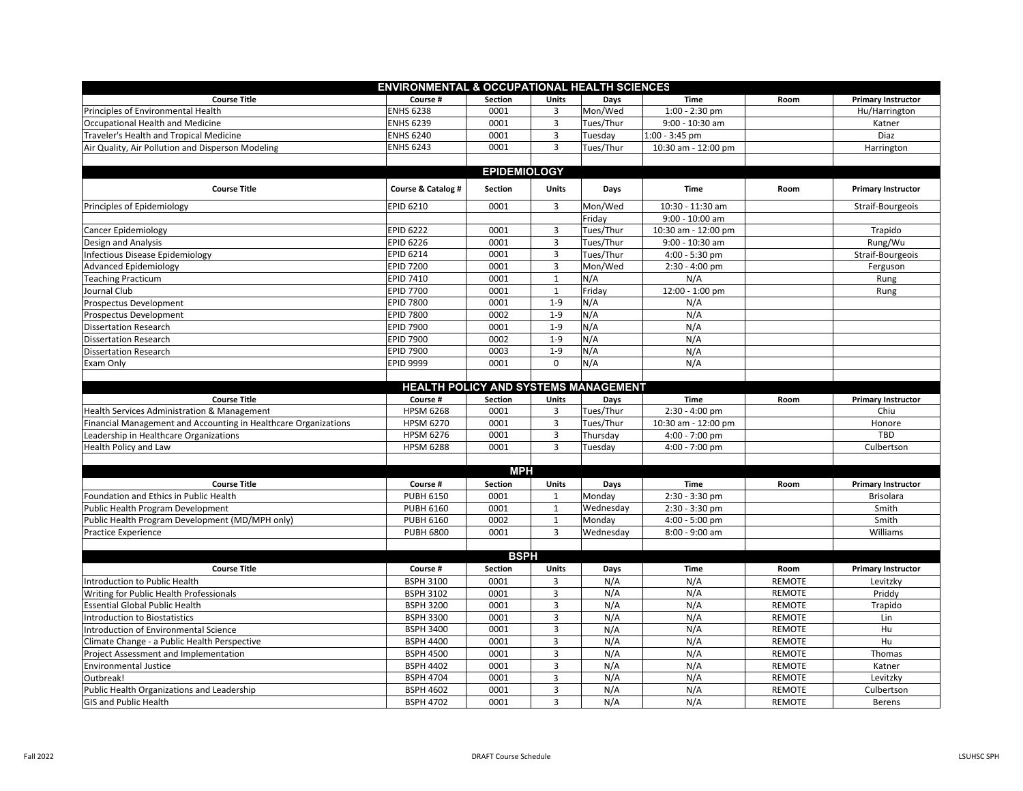| <b>ENVIRONMENTAL &amp; OCCUPATIONAL HEALTH SCIENCES</b>         |                                      |                        |              |            |                                |                                |                           |  |  |  |  |  |
|-----------------------------------------------------------------|--------------------------------------|------------------------|--------------|------------|--------------------------------|--------------------------------|---------------------------|--|--|--|--|--|
| <b>Course Title</b>                                             | Course #                             | Section                | Units        | Days       | <b>Time</b>                    | Room                           | <b>Primary Instructor</b> |  |  |  |  |  |
| Principles of Environmental Health                              | <b>ENHS 6238</b>                     | 0001                   | 3            | Mon/Wed    | $1:00 - 2:30$ pm               |                                | Hu/Harrington             |  |  |  |  |  |
| Occupational Health and Medicine                                | <b>ENHS 6239</b>                     | 0001                   | 3            | Tues/Thur  | 9:00 - 10:30 am                |                                | Katner                    |  |  |  |  |  |
| Traveler's Health and Tropical Medicine                         | <b>ENHS 6240</b>                     | 0001                   | 3            | Tuesday    | 1:00 - 3:45 pm                 |                                | Diaz                      |  |  |  |  |  |
| Air Quality, Air Pollution and Disperson Modeling               | <b>ENHS 6243</b>                     | 0001                   | 3            | Tues/Thur  | 10:30 am - 12:00 pm            |                                | Harrington                |  |  |  |  |  |
|                                                                 |                                      |                        |              |            |                                |                                |                           |  |  |  |  |  |
|                                                                 |                                      | <b>EPIDEMIOLOGY</b>    |              |            |                                |                                |                           |  |  |  |  |  |
| <b>Course Title</b>                                             | Course & Catalog #                   | Section                | <b>Units</b> | Days       | <b>Time</b>                    | Room                           | <b>Primary Instructor</b> |  |  |  |  |  |
| Principles of Epidemiology                                      | <b>EPID 6210</b>                     | 0001                   | 3            | Mon/Wed    | 10:30 - 11:30 am               |                                | Straif-Bourgeois          |  |  |  |  |  |
|                                                                 |                                      |                        |              | Friday     | 9:00 - 10:00 am                |                                |                           |  |  |  |  |  |
| <b>Cancer Epidemiology</b>                                      | <b>EPID 6222</b>                     | 0001                   | 3            | Tues/Thur  | 10:30 am - 12:00 pm<br>Trapido |                                |                           |  |  |  |  |  |
| Design and Analysis                                             | <b>EPID 6226</b>                     | 0001                   | 3            | Tues/Thur  | 9:00 - 10:30 am                |                                | Rung/Wu                   |  |  |  |  |  |
| Infectious Disease Epidemiology                                 | <b>EPID 6214</b>                     | 0001                   | 3            | Tues/Thur  | 4:00 - 5:30 pm                 |                                | Straif-Bourgeois          |  |  |  |  |  |
| <b>Advanced Epidemiology</b>                                    | <b>EPID 7200</b>                     | 0001                   | 3            | Mon/Wed    | $2:30 - 4:00$ pm               | Ferguson                       |                           |  |  |  |  |  |
| <b>Teaching Practicum</b>                                       | <b>EPID 7410</b>                     | 0001                   | $\mathbf{1}$ | N/A        | N/A                            |                                | Rung                      |  |  |  |  |  |
| Journal Club                                                    | <b>EPID 7700</b>                     | 0001                   | $\mathbf{1}$ | Friday     | 12:00 - 1:00 pm                |                                | Rung                      |  |  |  |  |  |
| Prospectus Development                                          | <b>EPID 7800</b>                     | 0001                   | $1 - 9$      | N/A        | N/A                            |                                |                           |  |  |  |  |  |
| Prospectus Development                                          | <b>EPID 7800</b>                     | 0002                   | $1 - 9$      | N/A        | N/A                            |                                |                           |  |  |  |  |  |
| <b>Dissertation Research</b>                                    | <b>EPID 7900</b>                     | 0001                   | $1 - 9$      | N/A        | N/A                            |                                |                           |  |  |  |  |  |
| <b>Dissertation Research</b>                                    | <b>EPID 7900</b>                     | 0002                   | $1 - 9$      | N/A        | N/A                            |                                |                           |  |  |  |  |  |
| <b>Dissertation Research</b>                                    | <b>EPID 7900</b>                     | 0003                   | $1 - 9$      | N/A        | N/A                            |                                |                           |  |  |  |  |  |
| Exam Only                                                       | <b>EPID 9999</b>                     | 0001                   | $\Omega$     | N/A        | N/A                            |                                |                           |  |  |  |  |  |
|                                                                 |                                      |                        |              |            |                                |                                |                           |  |  |  |  |  |
|                                                                 | HEALTH POLICY AND SYSTEMS MANAGEMENT |                        |              |            |                                |                                |                           |  |  |  |  |  |
| <b>Course Title</b>                                             | Course #                             | Section                | <b>Units</b> | Days       | <b>Time</b>                    | Room                           | <b>Primary Instructor</b> |  |  |  |  |  |
| Health Services Administration & Management                     | <b>HPSM 6268</b>                     | 0001                   | 3            | Tues/Thur  | $2:30 - 4:00$ pm               |                                | Chiu                      |  |  |  |  |  |
| Financial Management and Accounting in Healthcare Organizations | <b>HPSM 6270</b>                     | 0001                   | 3            | Tues/Thur  | 10:30 am - 12:00 pm            |                                | Honore                    |  |  |  |  |  |
| Leadership in Healthcare Organizations                          | <b>HPSM 6276</b>                     | 0001                   | 3            | Thursday   | $4:00 - 7:00$ pm               |                                | TBD                       |  |  |  |  |  |
| Health Policy and Law                                           | <b>HPSM 6288</b>                     | 0001                   | 3            | Tuesday    | 4:00 - 7:00 pm                 |                                | Culbertson                |  |  |  |  |  |
|                                                                 |                                      |                        |              |            |                                |                                |                           |  |  |  |  |  |
|                                                                 |                                      | <b>MPH</b>             |              |            |                                |                                |                           |  |  |  |  |  |
| <b>Course Title</b>                                             | Course #                             | Section                | <b>Units</b> | Days       | <b>Time</b>                    | Room                           | <b>Primary Instructor</b> |  |  |  |  |  |
| Foundation and Ethics in Public Health                          | <b>PUBH 6150</b>                     | 0001                   | 1            | Monday     | 2:30 - 3:30 pm                 |                                | <b>Brisolara</b>          |  |  |  |  |  |
| Public Health Program Development                               | <b>PUBH 6160</b>                     | 0001                   | $\mathbf{1}$ | Wednesday  | 2:30 - 3:30 pm                 |                                | Smith                     |  |  |  |  |  |
| Public Health Program Development (MD/MPH only)                 | <b>PUBH 6160</b>                     | 0002                   | $\mathbf{1}$ | Monday     | 4:00 - 5:00 pm                 |                                | Smith                     |  |  |  |  |  |
| <b>Practice Experience</b>                                      | <b>PUBH 6800</b>                     | 0001                   | 3            | Wednesday  | 8:00 - 9:00 am                 |                                | Williams                  |  |  |  |  |  |
|                                                                 |                                      |                        |              |            |                                |                                |                           |  |  |  |  |  |
| <b>Course Title</b>                                             | Course #                             | <b>BSPH</b><br>Section | Units        | Days       | <b>Time</b>                    | Room                           | <b>Primary Instructor</b> |  |  |  |  |  |
|                                                                 |                                      |                        |              |            |                                |                                |                           |  |  |  |  |  |
| Introduction to Public Health                                   | <b>BSPH 3100</b>                     | 0001                   | 3            | N/A        | N/A<br>N/A                     | <b>REMOTE</b>                  | Levitzky<br>Priddy        |  |  |  |  |  |
| Writing for Public Health Professionals                         | <b>BSPH 3102</b>                     | 0001                   | 3            | N/A        |                                | <b>REMOTE</b>                  |                           |  |  |  |  |  |
| <b>Essential Global Public Health</b>                           | <b>BSPH 3200</b>                     | 0001                   | 3            | N/A        | N/A                            | <b>REMOTE</b>                  | Trapido                   |  |  |  |  |  |
| <b>Introduction to Biostatistics</b>                            | <b>BSPH 3300</b>                     | 0001                   | 3<br>3       | N/A<br>N/A | N/A<br>N/A                     | <b>REMOTE</b>                  | Lin                       |  |  |  |  |  |
| Introduction of Environmental Science                           | <b>BSPH 3400</b>                     | 0001                   |              |            |                                | <b>REMOTE</b>                  | Hu                        |  |  |  |  |  |
| Climate Change - a Public Health Perspective                    | <b>BSPH 4400</b><br><b>BSPH 4500</b> | 0001<br>0001           | 3<br>3       | N/A<br>N/A | N/A<br>N/A                     | <b>REMOTE</b><br><b>REMOTE</b> | Hu<br>Thomas              |  |  |  |  |  |
| Project Assessment and Implementation                           | <b>BSPH 4402</b>                     | 0001                   | 3            | N/A        | N/A                            | <b>REMOTE</b>                  | Katner                    |  |  |  |  |  |
| <b>Environmental Justice</b><br>Outbreak!                       | <b>BSPH 4704</b>                     | 0001                   | 3            | N/A        | N/A                            | <b>REMOTE</b>                  | Levitzky                  |  |  |  |  |  |
|                                                                 | <b>BSPH 4602</b>                     | 0001                   | 3            | N/A        | N/A                            | <b>REMOTE</b>                  | Culbertson                |  |  |  |  |  |
| Public Health Organizations and Leadership                      | <b>BSPH 4702</b>                     | 0001                   | 3            | N/A        | N/A                            | <b>REMOTE</b>                  | Berens                    |  |  |  |  |  |
| <b>GIS and Public Health</b>                                    |                                      |                        |              |            |                                |                                |                           |  |  |  |  |  |